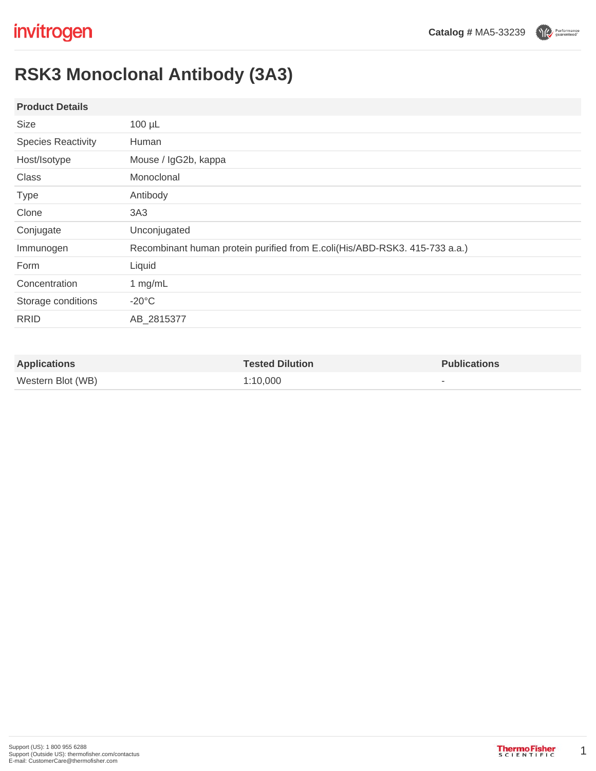Performance

# **RSK3 Monoclonal Antibody (3A3)**

### **Product Details**

| $100 \mu L$                                                                |
|----------------------------------------------------------------------------|
| Human                                                                      |
| Mouse / IgG2b, kappa                                                       |
| Monoclonal                                                                 |
| Antibody                                                                   |
| 3A3                                                                        |
| Unconjugated                                                               |
| Recombinant human protein purified from E.coli(His/ABD-RSK3. 415-733 a.a.) |
| Liquid                                                                     |
| 1 mg/mL                                                                    |
| $-20^{\circ}$ C                                                            |
| AB_2815377                                                                 |
|                                                                            |

| <b>Applications</b> | <b>Tested Dilution</b> | <b>Publications</b> |
|---------------------|------------------------|---------------------|
| Western Blot (WB)   | 1:10.000               |                     |

1